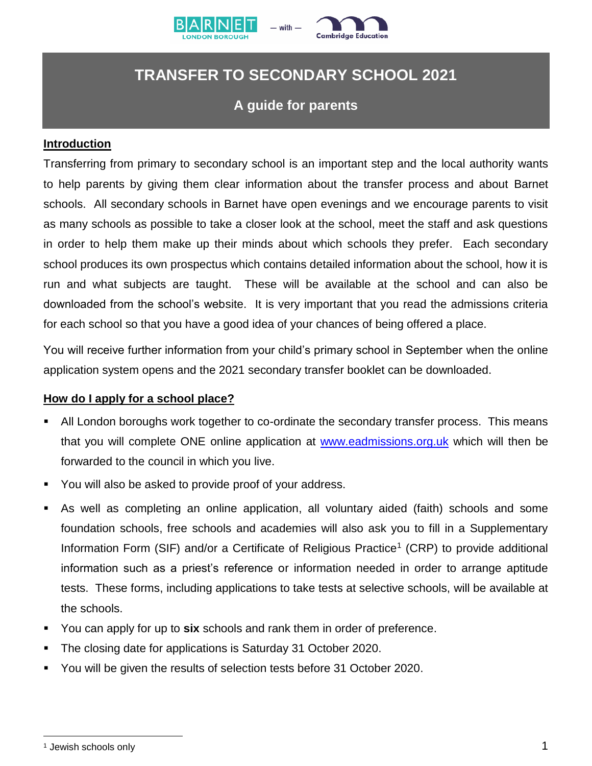



# **TRANSFER TO SECONDARY SCHOOL 2021**

# **A guide for parents**

#### **Introduction**

Transferring from primary to secondary school is an important step and the local authority wants to help parents by giving them clear information about the transfer process and about Barnet schools. All secondary schools in Barnet have open evenings and we encourage parents to visit as many schools as possible to take a closer look at the school, meet the staff and ask questions in order to help them make up their minds about which schools they prefer. Each secondary school produces its own prospectus which contains detailed information about the school, how it is run and what subjects are taught. These will be available at the school and can also be downloaded from the school's website. It is very important that you read the admissions criteria for each school so that you have a good idea of your chances of being offered a place.

You will receive further information from your child's primary school in September when the online application system opens and the 2021 secondary transfer booklet can be downloaded.

#### **How do I apply for a school place?**

- All London boroughs work together to co-ordinate the secondary transfer process. This means that you will complete ONE online application at [www.eadmissions.org.uk](http://www.eadmissions.org.uk/) which will then be forwarded to the council in which you live.
- You will also be asked to provide proof of your address.
- As well as completing an online application, all voluntary aided (faith) schools and some foundation schools, free schools and academies will also ask you to fill in a Supplementary Information Form (SIF) and/or a Certificate of Religious Practice<sup>1</sup> (CRP) to provide additional information such as a priest's reference or information needed in order to arrange aptitude tests. These forms, including applications to take tests at selective schools, will be available at the schools.
- You can apply for up to **six** schools and rank them in order of preference.
- The closing date for applications is Saturday 31 October 2020.
- You will be given the results of selection tests before 31 October 2020.

 $\overline{a}$ 

<sup>1</sup> Jewish schools only